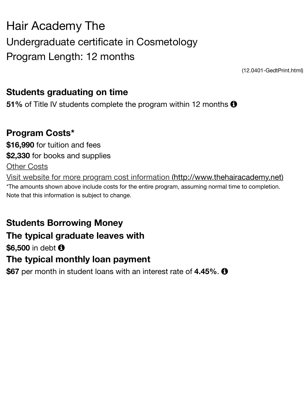### Program Length: 12 months

 $(12.040$ 

## **Students graduating on time**

**51%** of Title IV students complete the program within 12 months **0** 

## **Program Costs\***

**\$16,990** for tuition and fees **\$2,330** for books and supplies

Other Costs

Visit website for more program cost information (http://www.thehairacaden \*The amounts shown above include costs for the entire program, assuming normal time to comp Note that this information is subject to change.

# **Students Borrowing Money**

### **[The typical graduate leaves with](http://www.thehairacademy.net/)**

### \$6,500 in debt  $\bullet$

## **The typical monthly loan payment**

**\$67** per month in student loans with an interest rate of **4.45%**. !